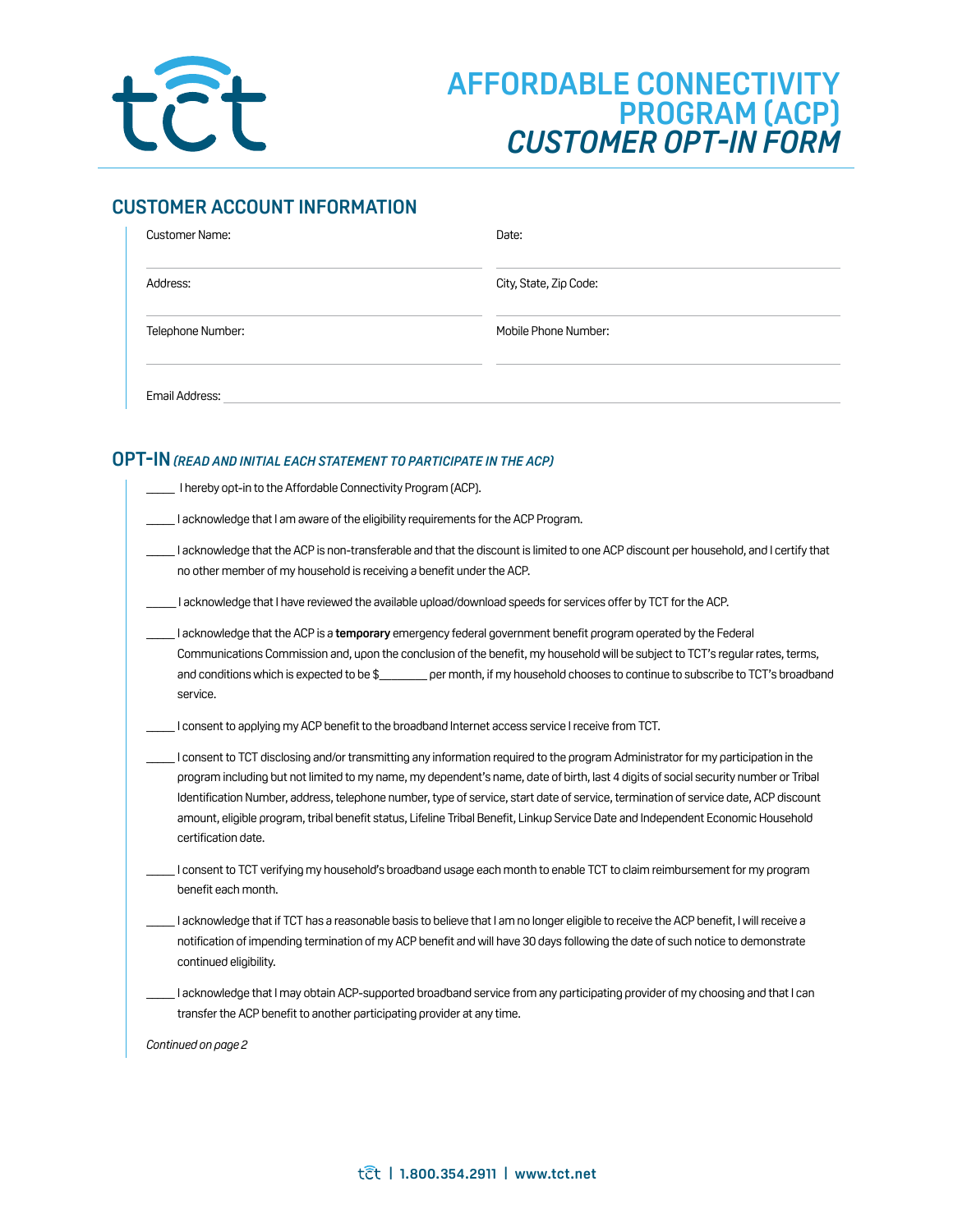

## **AFFORDABLE CONNECTIVITY PROGRAM (ACP)** *CUSTOMER OPT-IN FORM*

### **CUSTOMER ACCOUNT INFORMATION**

| Customer Name:    | Date:                  |
|-------------------|------------------------|
| Address:          | City, State, Zip Code: |
| Telephone Number: | Mobile Phone Number:   |
| Email Address:    |                        |

### **OPT-IN** *(READ AND INITIAL EACH STATEMENT TO PARTICIPATE IN THE ACP)*

| I hereby opt-in to the Affordable Connectivity Program (ACP).                                                                                                                                                                                                                                                                                                                                                                                                                                                                                                              |  |
|----------------------------------------------------------------------------------------------------------------------------------------------------------------------------------------------------------------------------------------------------------------------------------------------------------------------------------------------------------------------------------------------------------------------------------------------------------------------------------------------------------------------------------------------------------------------------|--|
| I acknowledge that I am aware of the eligibility requirements for the ACP Program.                                                                                                                                                                                                                                                                                                                                                                                                                                                                                         |  |
| I acknowledge that the ACP is non-transferable and that the discount is limited to one ACP discount per household, and I certify that<br>no other member of my household is receiving a benefit under the ACP.                                                                                                                                                                                                                                                                                                                                                             |  |
| I acknowledge that I have reviewed the available upload/download speeds for services offer by TCT for the ACP.                                                                                                                                                                                                                                                                                                                                                                                                                                                             |  |
| I acknowledge that the ACP is a temporary emergency federal government benefit program operated by the Federal<br>Communications Commission and, upon the conclusion of the benefit, my household will be subject to TCT's regular rates, terms,<br>and conditions which is expected to be \$ _ per month, if my household chooses to continue to subscribe to TCT's broadband<br>service.                                                                                                                                                                                 |  |
| I consent to applying my ACP benefit to the broadband Internet access service I receive from TCT.                                                                                                                                                                                                                                                                                                                                                                                                                                                                          |  |
| I consent to TCT disclosing and/or transmitting any information required to the program Administrator for my participation in the<br>program including but not limited to my name, my dependent's name, date of birth, last 4 digits of social security number or Tribal<br>Identification Number, address, telephone number, type of service, start date of service, termination of service date, ACP discount<br>amount, eligible program, tribal benefit status, Lifeline Tribal Benefit, Linkup Service Date and Independent Economic Household<br>certification date. |  |
| I consent to TCT verifying my household's broadband usage each month to enable TCT to claim reimbursement for my program<br>benefit each month.                                                                                                                                                                                                                                                                                                                                                                                                                            |  |
| I acknowledge that if TCT has a reasonable basis to believe that I am no longer eligible to receive the ACP benefit, I will receive a<br>notification of impending termination of my ACP benefit and will have 30 days following the date of such notice to demonstrate<br>continued eligibility.                                                                                                                                                                                                                                                                          |  |
| I acknowledge that I may obtain ACP-supported broadband service from any participating provider of my choosing and that I can<br>transfer the ACP benefit to another participating provider at any time.                                                                                                                                                                                                                                                                                                                                                                   |  |
| Continued on page 2                                                                                                                                                                                                                                                                                                                                                                                                                                                                                                                                                        |  |